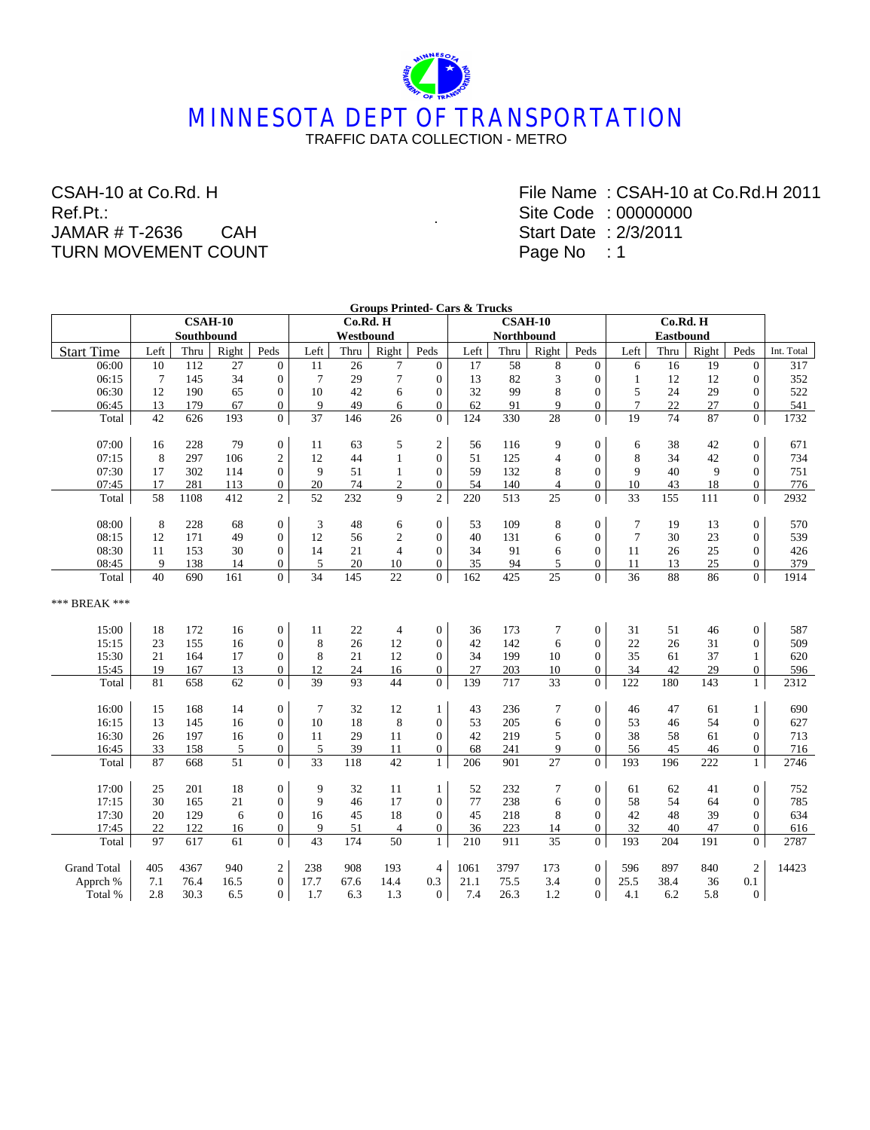# **MINNESOTA DEPT OF TRANSPORTATION** TRAFFIC DATA COLLECTION - METRO

.

#### CSAH-10 at Co.Rd. H Ref.Pt.: JAMAR # T-2636 CAH TURN MOVEMENT COUNT

File Name : CSAH-10 at Co.Rd.H 2011 Site Code : 00000000 Start Date : 2/3/2011 Page No : 1

|                    |                 |      |          |                  |                 |           |                | <b>Groups Printed- Cars &amp; Trucks</b> |      |            |                 |                  |                | Co.Rd. H |           |                  |            |
|--------------------|-----------------|------|----------|------------------|-----------------|-----------|----------------|------------------------------------------|------|------------|-----------------|------------------|----------------|----------|-----------|------------------|------------|
|                    |                 |      | Co.Rd. H |                  |                 |           |                | $CSAH-10$                                |      |            |                 |                  |                |          |           |                  |            |
|                    | Southbound      |      |          |                  |                 | Westbound |                |                                          |      | Northbound |                 |                  |                |          |           |                  |            |
| <b>Start Time</b>  | Left            | Thru | Right    | Peds             | Left            | Thru      | Right          | Peds                                     | Left | Thru       | Right           | Peds             | Left           | Thru     | Right     | Peds             | Int. Total |
| 06:00              | 10              | 112  | 27       | $\overline{0}$   | 11              | 26        | 7              | $\Omega$                                 | 17   | 58         | 8               | $\mathbf{0}$     | 6              | 16       | 19        | $\overline{0}$   | 317        |
| 06:15              | $7\phantom{.0}$ | 145  | 34       | $\overline{0}$   | $7\phantom{.0}$ | 29        | $\overline{7}$ | $\mathbf{0}$                             | 13   | 82         | 3               | $\mathbf{0}$     | 1              | 12       | 12        | $\overline{0}$   | 352        |
| 06:30              | 12              | 190  | 65       | $\boldsymbol{0}$ | 10              | 42        | 6              | $\theta$                                 | 32   | 99         | 8               | $\overline{0}$   | 5              | 24       | 29        | $\mathbf{0}$     | 522        |
| 06:45              | 13              | 179  | 67       | $\boldsymbol{0}$ | 9               | 49        | 6              | $\mathbf{0}$                             | 62   | 91         | 9               | $\boldsymbol{0}$ | $\tau$         | $22\,$   | 27        | $\mathbf{0}$     | 541        |
| Total              | 42              | 626  | 193      | $\overline{0}$   | 37              | 146       | 26             | $\overline{0}$                           | 124  | 330        | $\overline{28}$ | $\overline{0}$   | 19             | 74       | 87        | $\overline{0}$   | 1732       |
| 07:00              | 16              | 228  | 79       | $\mathbf{0}$     | 11              | 63        | 5              | $\overline{2}$                           | 56   | 116        | 9               | $\overline{0}$   | 6              | 38       | 42        | $\overline{0}$   | 671        |
| 07:15              | 8               | 297  | 106      | $\overline{2}$   | 12              | 44        | $\mathbf{1}$   | $\mathbf{0}$                             | 51   | 125        | $\overline{4}$  | $\mathbf{0}$     | 8              | 34       | 42        | $\overline{0}$   | 734        |
| 07:30              | 17              | 302  | 114      | $\mathbf{0}$     | 9               | 51        | $\mathbf{1}$   | $\overline{0}$                           | 59   | 132        | 8               | $\overline{0}$   | 9              | 40       | 9         | $\overline{0}$   | 751        |
| 07:45              | 17              | 281  | 113      | $\overline{0}$   | 20              | 74        | $\overline{c}$ | $\overline{0}$                           | 54   | 140        | $\overline{4}$  | $\overline{0}$   | 10             | 43       | 18        | $\overline{0}$   | 776        |
| Total              | 58              | 1108 | 412      | $\overline{2}$   | 52              | 232       | 9              | $\overline{2}$                           | 220  | 513        | 25              | $\overline{0}$   | 33             | 155      | 111       | $\overline{0}$   | 2932       |
|                    |                 |      |          |                  |                 |           |                |                                          |      |            |                 |                  |                |          |           |                  |            |
| 08:00              | 8               | 228  | 68       | $\mathbf{0}$     | 3               | 48        | 6              | $\mathbf{0}$                             | 53   | 109        | 8               | $\boldsymbol{0}$ | $\tau$         | 19       | 13        | $\mathbf{0}$     | 570        |
| 08:15              | 12              | 171  | 49       | $\overline{0}$   | 12              | 56        | $\sqrt{2}$     | $\overline{0}$                           | 40   | 131        | 6               | $\Omega$         | $\overline{7}$ | 30       | 23        | $\Omega$         | 539        |
| 08:30              | 11              | 153  | 30       | $\boldsymbol{0}$ | 14              | 21        | $\overline{4}$ | $\mathbf{0}$                             | 34   | 91         | 6               | $\mathbf{0}$     | 11             | 26       | 25        | $\overline{0}$   | 426        |
| 08:45              | 9               | 138  | 14       | $\boldsymbol{0}$ | 5               | 20        | 10             | $\overline{0}$                           | 35   | 94         | 5               | $\overline{0}$   | 11             | 13       | 25        | $\overline{0}$   | 379        |
| Total              | 40              | 690  | 161      | $\overline{0}$   | 34              | 145       | 22             | $\overline{0}$                           | 162  | 425        | 25              | $\overline{0}$   | 36             | 88       | 86        | $\overline{0}$   | 1914       |
| *** BREAK ***      |                 |      |          |                  |                 |           |                |                                          |      |            |                 |                  |                |          |           |                  |            |
| 15:00              | 18              | 172  | 16       | $\boldsymbol{0}$ | 11              | 22        | $\overline{4}$ | $\boldsymbol{0}$                         | 36   | 173        | $\overline{7}$  | $\boldsymbol{0}$ | 31             | 51       | 46        | $\boldsymbol{0}$ | 587        |
| 15:15              | 23              | 155  | 16       | $\boldsymbol{0}$ | 8               | 26        | 12             | $\overline{0}$                           | 42   | 142        | 6               | $\overline{0}$   | 22             | 26       | 31        | $\overline{0}$   | 509        |
| 15:30              | 21              | 164  | 17       | $\overline{0}$   | 8               | 21        | 12             | $\theta$                                 | 34   | 199        | 10              | $\mathbf{0}$     | 35             | 61       | 37        | $\mathbf{1}$     | 620        |
| 15:45              | 19              | 167  | 13       | $\overline{0}$   | 12              | 24        | 16             | $\overline{0}$                           | 27   | 203        | 10              | $\boldsymbol{0}$ | 34             | 42       | 29        | $\boldsymbol{0}$ | 596        |
| Total              | 81              | 658  | 62       | $\overline{0}$   | 39              | 93        | 44             | $\overline{0}$                           | 139  | 717        | 33              | $\overline{0}$   | 122            | 180      | 143       | $\mathbf{1}$     | 2312       |
| 16:00              | 15              | 168  | 14       | $\boldsymbol{0}$ | $\overline{7}$  | 32        | 12             | $\mathbf{1}$                             | 43   | 236        | 7               | $\overline{0}$   | 46             | 47       | 61        | $\mathbf{1}$     | 690        |
| 16:15              | 13              | 145  | 16       | $\overline{0}$   | 10              | 18        | 8              | $\mathbf{0}$                             | 53   | 205        | 6               | $\mathbf{0}$     | 53             | 46       | 54        | $\overline{0}$   | 627        |
| 16:30              | 26              | 197  | 16       | $\mathbf{0}$     | 11              | 29        | 11             | $\mathbf{0}$                             | 42   | 219        | 5               | $\overline{0}$   | 38             | 58       | 61        | $\mathbf{0}$     | 713        |
| 16:45              | 33              | 158  | 5        | $\overline{0}$   | 5               | 39        | 11             | $\overline{0}$                           | 68   | 241        | 9               | $\boldsymbol{0}$ | 56             | 45       | 46        | $\mathbf{0}$     | 716        |
| Total              | 87              | 668  | 51       | $\overline{0}$   | 33              | 118       | 42             | $\mathbf{1}$                             | 206  | 901        | 27              | $\overline{0}$   | 193            | 196      | 222       | $\mathbf{1}$     | 2746       |
| 17:00              | 25              | 201  | 18       | $\overline{0}$   | 9               | 32        | 11             | $\mathbf{1}$                             | 52   | 232        |                 | $\overline{0}$   | 61             | 62       | 41        | $\overline{0}$   | 752        |
| 17:15              | 30              | 165  | 21       | $\overline{0}$   | 9               | 46        | 17             | $\overline{0}$                           | 77   | 238        | 7               | $\mathbf{0}$     | 58             | 54       |           |                  | 785        |
|                    |                 |      |          |                  |                 |           |                |                                          |      |            | 6               |                  |                | 48       | 64        | $\overline{0}$   |            |
| 17:30              | 20              | 129  | 6        | $\boldsymbol{0}$ | 16              | 45        | 18             | $\mathbf{0}$                             | 45   | 218        | 8               | $\overline{0}$   | 42             |          | 39        | $\mathbf{0}$     | 634        |
| 17:45              | 22              | 122  | 16       | $\overline{0}$   | 9<br>43         | 51        | $\overline{4}$ | $\mathbf{0}$                             | 36   | 223        | 14<br>35        | $\boldsymbol{0}$ | 32             | 40       | 47<br>191 | $\mathbf{0}$     | 616        |
| Total              | 97              | 617  | 61       | $\overline{0}$   |                 | 174       | 50             | $\mathbf{1}$                             | 210  | 911        |                 | $\overline{0}$   | 193            | 204      |           | $\overline{0}$   | 2787       |
| <b>Grand Total</b> | 405             | 4367 | 940      | $\overline{c}$   | 238             | 908       | 193            | $\overline{4}$                           | 1061 | 3797       | 173             | $\overline{0}$   | 596            | 897      | 840       | $\overline{c}$   | 14423      |
| Apprch %           | 7.1             | 76.4 | 16.5     | $\boldsymbol{0}$ | 17.7            | 67.6      | 14.4           | 0.3                                      | 21.1 | 75.5       | 3.4             | $\mathbf{0}$     | 25.5           | 38.4     | 36        | 0.1              |            |
| Total %            | 2.8             | 30.3 | 6.5      | $\overline{0}$   | 1.7             | 6.3       | 1.3            | $\Omega$                                 | 7.4  | 26.3       | 1.2             | $\Omega$         | 4.1            | 6.2      | 5.8       | $\overline{0}$   |            |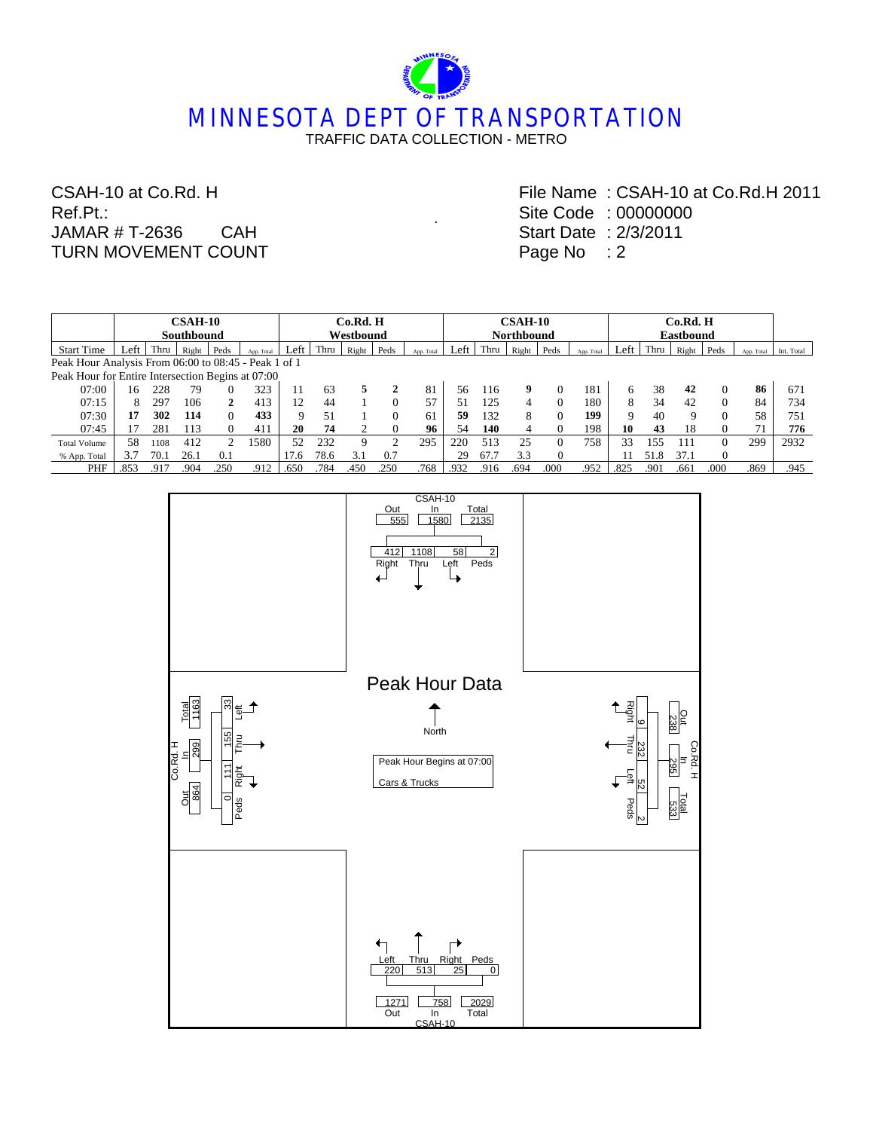# **MINNESOTA DEPT OF TRANSPORTATION** TRAFFIC DATA COLLECTION - METRO

.

#### CSAH-10 at Co.Rd. H Ref.Pt.: JAMAR # T-2636 CAH TURN MOVEMENT COUNT

File Name : CSAH-10 at Co.Rd.H 2011 Site Code : 00000000 Start Date : 2/3/2011 Page No : 2

|                                                      | <b>CSAH-10</b>    |      |       |              |            | Co.Rd. H |           |       |      |            |      | <b>CSAH-10</b>    |       |      |            |      |      | Co.Rd. H         |          |            |            |  |  |
|------------------------------------------------------|-------------------|------|-------|--------------|------------|----------|-----------|-------|------|------------|------|-------------------|-------|------|------------|------|------|------------------|----------|------------|------------|--|--|
|                                                      | <b>Southbound</b> |      |       |              |            |          | Westbound |       |      |            |      | <b>Northbound</b> |       |      |            |      |      | <b>Eastbound</b> |          |            |            |  |  |
| <b>Start Time</b>                                    | Left              | Thru | Right | Peds         | App. Total | Left     | Thru      | Right | Peds | App. Total | Left | Thru              | Right | Peds | App. Total | Lef  | Thru | Right            | Peds     | App. Total | Int. Total |  |  |
| Peak Hour Analysis From 06:00 to 08:45 - Peak 1 of 1 |                   |      |       |              |            |          |           |       |      |            |      |                   |       |      |            |      |      |                  |          |            |            |  |  |
| Peak Hour for Entire Intersection Begins at 07:00    |                   |      |       |              |            |          |           |       |      |            |      |                   |       |      |            |      |      |                  |          |            |            |  |  |
| 07:00                                                | 16                | 228  | 79    | $\theta$     | 323        | 11       | 63        | 5.    | 2    | 81         | 56   | 116               | 9     |      | 181        | 6    | 38   | 42               | $\Omega$ | 86         | 671        |  |  |
| 07:15                                                | 8                 | 297  | 106   | $\mathbf{2}$ | 413        | 12       | 44        |       |      | 57         | 51   | 125               | 4     |      | 180        | 8    | 34   | 42               | $\Omega$ | 84         | 734        |  |  |
| 07:30                                                | 17                | 302  | 114   | $\Omega$     | 433        | 9        | 51        |       |      | 61         | 59   | 132               | 8     |      | 199        | Q    | 40   | Q                | $\theta$ | 58         | 751        |  |  |
| 07:45                                                |                   | 281  | 113   |              | 411        | 20       | 74        |       |      | 96         | 54   | 140               | 4     |      | 198        | 10   | 43   | 18               | $\Omega$ | 71         | 776        |  |  |
| <b>Total Volume</b>                                  | 58                | 1108 | 412   | ∍            | 1580       | 52       | 232       | 9     | ◠    | 295        | 220  | 513               | 25    |      | 758        | 33   | 155  | 111              | $\Omega$ | 299        | 2932       |  |  |
| % App. Total                                         | 3.7               | 70.  | 26.1  | 0.1          |            | 17.6     | 78.6      | 3.1   | 0.7  |            | 29   | 67.7              | 3.3   |      |            |      | 51.8 | 37.1             | $\Omega$ |            |            |  |  |
| PHF                                                  | .853              | .917 | .904  | .250         | .912       | .650     | .784      | .450  | .250 | .768       | .932 | .916              | .694  | .000 | .952       | .825 | .90  | .661             | .000     | .869       | .945       |  |  |